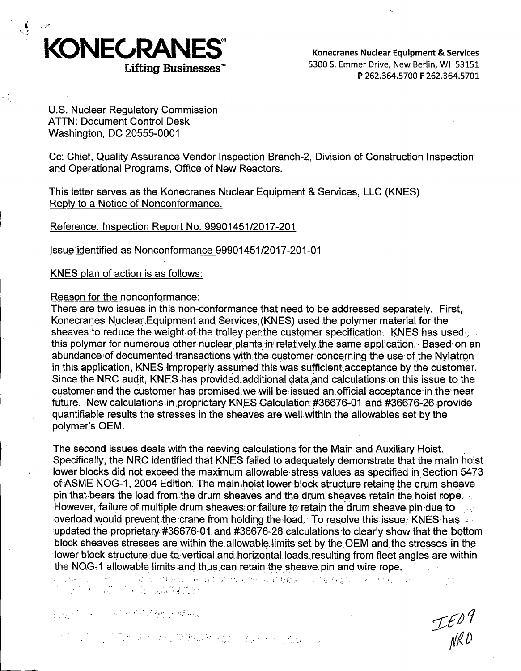

Konecranes Nuclear Equipment & Services 5300 S. Emmer Drive, New Berlin, WI 53151 P 262.364.5700 F 262.364.5701

U.S. Nuclear Regulatory Commission ATTN: Document Control Desk Washington, DC 20555-0001

Cc: Chief, Quality Assurance Vendor Inspection Branch-2, Division of Construction Inspection and Operational Programs, Office of New Reactors.

This letter serves as the Konecranes Nuclear Equipment & Services, LLC (KNES) Reply to a Notice of Nonconformance.

Reference: Inspection Report No. 99901451/2017-201

Issue.identified as Nonconformance 99901451/2017-201-01

KNES plan of action is as follows:

#### Reason for the nonconformance:

There are two issues in this non-conformance that need to be addressed separately. First, Konecranes Nuclear Equipment and Services (KNES) used the polymer material for the sheaves to reduce the weight of the trolley per the customer specification. KNES has used,... this polymer for numerous other nuclear plants in relatively the same application. Based on an abundance of documented transactions with the customer concerning the use of the Nylatron in this application, KNES improperly assumed this was sufficient acceptance by the customer. Since the NRC audit, KNES has provided:additional data. and calculations on this issue to the customer and the customer has promised we will be issued an official acceptance in the near future. New calculations in proprietary KNES Calculation #36676-01 and #36676-26 provide. quantifiable results the stresses in the sheaves are well.within the allowables set by the polymer's OEM.

The second issues deals with the reeving calculations for the Main and Auxiliary Hoist. . Specifically, the NRC identified that KNES failed to adequately demonstrate that the main hoist lower blocks did not exceed the maximum allowable stress values as specified in Section 5473 of:ASME NOG-1, 2004 Edition. The main hoist lower block structure retains the drum sheave pin that bears the load from the drum sheaves and the drum sheaves retain the hoist rope. However, failure of multiple drum sheaves: or:failure to retain the drum sheave, pin due to overload would prevent the crane from holding the load. To resolve this issue, KNES has ... updated the proprietary #36676-01 and #36676-26 calculations to clearly show that the bottom .block sheaves stresses are within the allowable limits set by the OEM and the stresses in the lower block structure due to vertical and horizontal loads resulting from fleet angles are within the NOG-1 allowable limits and thus can retain the sheave pin and wire rope.

.. · .. '. :. ' . ,\_.· .  $\sim 10^6$  $\mathbb{P}^n \times \mathbb{P}^n \rightarrow \mathbb{P}^n \times \mathbb{P}^n \times \mathbb{P}^n \times \mathbb{P}^n$ 

*.. !•'"* • :• .. . !\

IEO9<br>NRD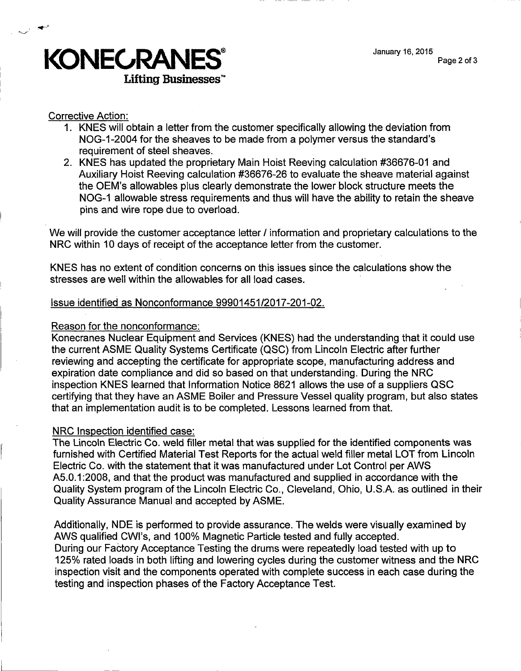

# Corrective Action:

- 1. KNES will obtain a letter from the customer specifically allowing the deviation from NOG-1-2004 for the sheaves to be made from a polymer versus the standard's requirement of steel sheaves.
- 2. KNES has updated the proprietary Main Hoist Reeving calculation #36676-01 and Auxiliary Hoist Reeving calculation #36676-26 to evaluate the sheave material against the OEM's allowables plus clearly demonstrate the lower block structure meets the NOG-1 allowable stress requirements and thus will have the ability to retain the sheave pins and wire rope due to overload.

We will provide the customer acceptance letter *I* information and proprietary calculations to the NRC within 10 days of receipt of the acceptance letter from the customer.

KNES has no extent of condition concerns on this issues since the calculations show the stresses are well within the allowables for all load cases.

## Issue identified as Nonconformance 99901451/2017-201-02.

#### Reason for the nonconformance:

Konecranes Nuclear Equipment and Services (KNES) had the understanding that it could use the current ASME Quality Systems Certificate (QSC) from Lincoln Electric after further reviewing and accepting the certificate for appropriate scope, manufacturing address and expiration date compliance and did so based on that understanding. During the NRC inspection KNES learned that Information Notice 8621 allows the use of a suppliers QSC certifying that they have an ASME Boiler and Pressure Vessel quality program, but also states that an implementation audit is to be completed. Lessons learned from that.

## NRC Inspection identified case:

The Lincoln Electric Co. weld filler metal that was supplied for the identified components was furnished with Certified Material Test Reports for the actual weld filler metal LOT from Lincoln Electric Co. with the statement that it was manufactured under Lot Control per AWS A5.0.1 :2008, and that the product was manufactured and supplied in accordance with the Quality System program of the Lincoln Electric Co., Cleveland, Ohio, U.S.A. as outlined in their Quality Assurance Manual and accepted by ASME.

Additionally, NOE is performed to provide assurance. The welds were visually examined by AWS qualified CWl's, and 100% Magnetic Particle tested and fully accepted. During our Faetory Acceptance Testing the drums were repeatedly load tested with up to 125% rated loads in both lifting and lowering cycles during the customer witness and the NRC inspection visit and the components operated with complete success in each case during the testing and inspection phases of the Factory Acceptance Test.